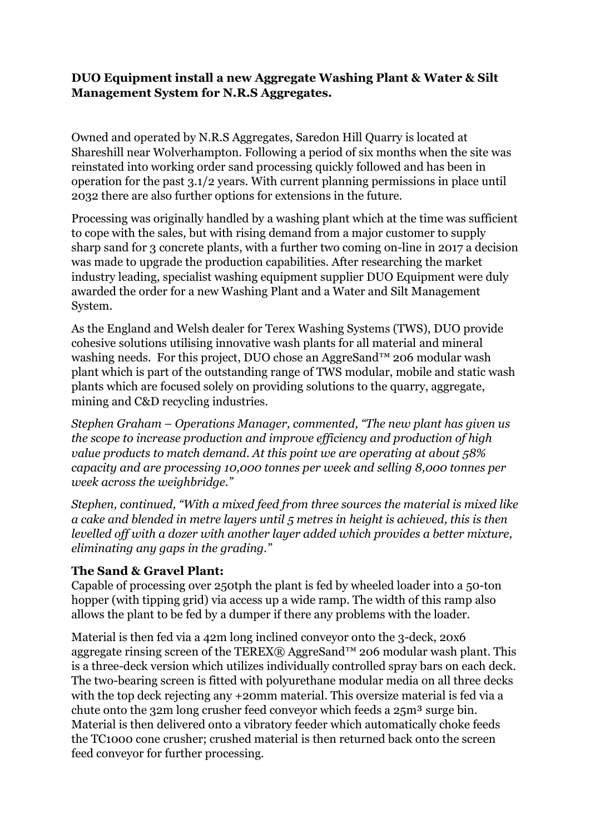## **DUO Equipment install a new Aggregate Washing Plant & Water & Silt Management System for N.R.S Aggregates.**

Owned and operated by N.R.S Aggregates, Saredon Hill Quarry is located at Shareshill near Wolverhampton. Following a period of six months when the site was reinstated into working order sand processing quickly followed and has been in operation for the past 3.1/2 years. With current planning permissions in place until 2032 there are also further options for extensions in the future.

Processing was originally handled by a washing plant which at the time was sufficient to cope with the sales, but with rising demand from a major customer to supply sharp sand for 3 concrete plants, with a further two coming on-line in 2017 a decision was made to upgrade the production capabilities. After researching the market industry leading, specialist washing equipment supplier DUO Equipment were duly awarded the order for a new Washing Plant and a Water and Silt Management System.

As the England and Welsh dealer for Terex Washing Systems (TWS), DUO provide cohesive solutions utilising innovative wash plants for all material and mineral washing needs. For this project, DUO chose an AggreSand™ 206 modular wash plant which is part of the outstanding range of TWS modular, mobile and static wash plants which are focused solely on providing solutions to the quarry, aggregate, mining and C&D recycling industries.

*Stephen Graham – Operations Manager, commented, "The new plant has given us the scope to increase production and improve efficiency and production of high value products to match demand. At this point we are operating at about 58% capacity and are processing 10,000 tonnes per week and selling 8,000 tonnes per week across the weighbridge."*

*Stephen, continued, "With a mixed feed from three sources the material is mixed like a cake and blended in metre layers until 5 metres in height is achieved, this is then levelled off with a dozer with another layer added which provides a better mixture, eliminating any gaps in the grading."*

## **The Sand & Gravel Plant:**

Capable of processing over 250tph the plant is fed by wheeled loader into a 50-ton hopper (with tipping grid) via access up a wide ramp. The width of this ramp also allows the plant to be fed by a dumper if there any problems with the loader.

Material is then fed via a 42m long inclined conveyor onto the 3-deck, 20x6 aggregate rinsing screen of the TEREX® AggreSand<sup>™</sup> 206 modular wash plant. This is a three-deck version which utilizes individually controlled spray bars on each deck. The two-bearing screen is fitted with polyurethane modular media on all three decks with the top deck rejecting any +20mm material. This oversize material is fed via a chute onto the 32m long crusher feed convevor which feeds a 25m<sup>3</sup> surge bin. Material is then delivered onto a vibratory feeder which automatically choke feeds the TC1000 cone crusher; crushed material is then returned back onto the screen feed conveyor for further processing.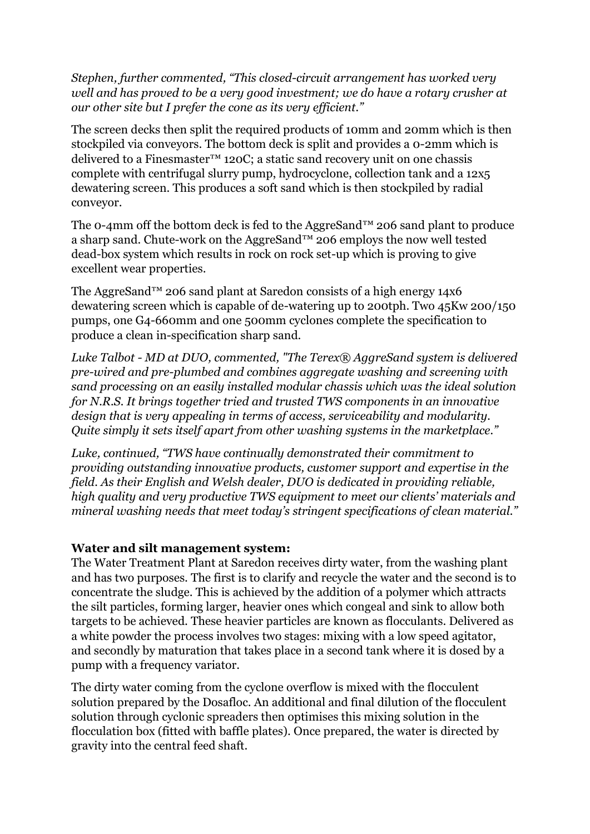*Stephen, further commented, "This closed-circuit arrangement has worked very well and has proved to be a very good investment; we do have a rotary crusher at our other site but I prefer the cone as its very efficient."*

The screen decks then split the required products of 10mm and 20mm which is then stockpiled via conveyors. The bottom deck is split and provides a 0-2mm which is delivered to a Finesmaster™ 120C; a static sand recovery unit on one chassis complete with centrifugal slurry pump, hydrocyclone, collection tank and a 12x5 dewatering screen. This produces a soft sand which is then stockpiled by radial conveyor.

The 0-4mm off the bottom deck is fed to the AggreSand™ 206 sand plant to produce a sharp sand. Chute-work on the AggreSand™ 206 employs the now well tested dead-box system which results in rock on rock set-up which is proving to give excellent wear properties.

The AggreSand™ 206 sand plant at Saredon consists of a high energy 14x6 dewatering screen which is capable of de-watering up to 200tph. Two 45Kw 200/150 pumps, one G4-660mm and one 500mm cyclones complete the specification to produce a clean in-specification sharp sand.

*Luke Talbot - MD at DUO, commented, "The Terex® AggreSand system is delivered pre-wired and pre-plumbed and combines aggregate washing and screening with sand processing on an easily installed modular chassis which was the ideal solution for N.R.S. It brings together tried and trusted TWS components in an innovative design that is very appealing in terms of access, serviceability and modularity. Quite simply it sets itself apart from other washing systems in the marketplace."*

*Luke, continued, "TWS have continually demonstrated their commitment to providing outstanding innovative products, customer support and expertise in the field. As their English and Welsh dealer, DUO is dedicated in providing reliable, high quality and very productive TWS equipment to meet our clients' materials and mineral washing needs that meet today's stringent specifications of clean material."*

#### **Water and silt management system:**

The Water Treatment Plant at Saredon receives dirty water, from the washing plant and has two purposes. The first is to clarify and recycle the water and the second is to concentrate the sludge. This is achieved by the addition of a polymer which attracts the silt particles, forming larger, heavier ones which congeal and sink to allow both targets to be achieved. These heavier particles are known as flocculants. Delivered as a white powder the process involves two stages: mixing with a low speed agitator, and secondly by maturation that takes place in a second tank where it is dosed by a pump with a frequency variator.

The dirty water coming from the cyclone overflow is mixed with the flocculent solution prepared by the Dosafloc. An additional and final dilution of the flocculent solution through cyclonic spreaders then optimises this mixing solution in the flocculation box (fitted with baffle plates). Once prepared, the water is directed by gravity into the central feed shaft.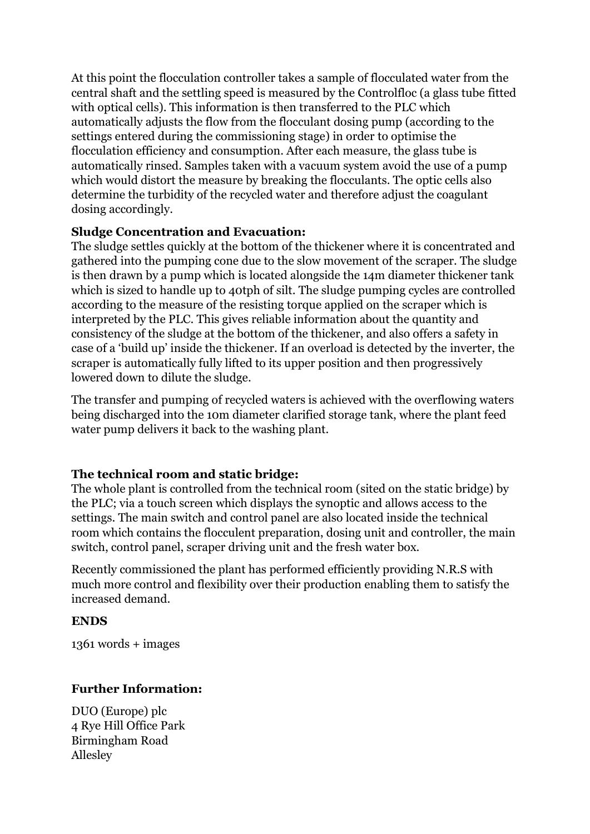At this point the flocculation controller takes a sample of flocculated water from the central shaft and the settling speed is measured by the Controlfloc (a glass tube fitted with optical cells). This information is then transferred to the PLC which automatically adjusts the flow from the flocculant dosing pump (according to the settings entered during the commissioning stage) in order to optimise the flocculation efficiency and consumption. After each measure, the glass tube is automatically rinsed. Samples taken with a vacuum system avoid the use of a pump which would distort the measure by breaking the flocculants. The optic cells also determine the turbidity of the recycled water and therefore adjust the coagulant dosing accordingly.

#### **Sludge Concentration and Evacuation:**

The sludge settles quickly at the bottom of the thickener where it is concentrated and gathered into the pumping cone due to the slow movement of the scraper. The sludge is then drawn by a pump which is located alongside the 14m diameter thickener tank which is sized to handle up to 40tph of silt. The sludge pumping cycles are controlled according to the measure of the resisting torque applied on the scraper which is interpreted by the PLC. This gives reliable information about the quantity and consistency of the sludge at the bottom of the thickener, and also offers a safety in case of a 'build up' inside the thickener. If an overload is detected by the inverter, the scraper is automatically fully lifted to its upper position and then progressively lowered down to dilute the sludge.

The transfer and pumping of recycled waters is achieved with the overflowing waters being discharged into the 10m diameter clarified storage tank, where the plant feed water pump delivers it back to the washing plant.

## **The technical room and static bridge:**

The whole plant is controlled from the technical room (sited on the static bridge) by the PLC; via a touch screen which displays the synoptic and allows access to the settings. The main switch and control panel are also located inside the technical room which contains the flocculent preparation, dosing unit and controller, the main switch, control panel, scraper driving unit and the fresh water box.

Recently commissioned the plant has performed efficiently providing N.R.S with much more control and flexibility over their production enabling them to satisfy the increased demand.

#### **ENDS**

1361 words + images

## **Further Information:**

DUO (Europe) plc 4 Rye Hill Office Park Birmingham Road Allesley